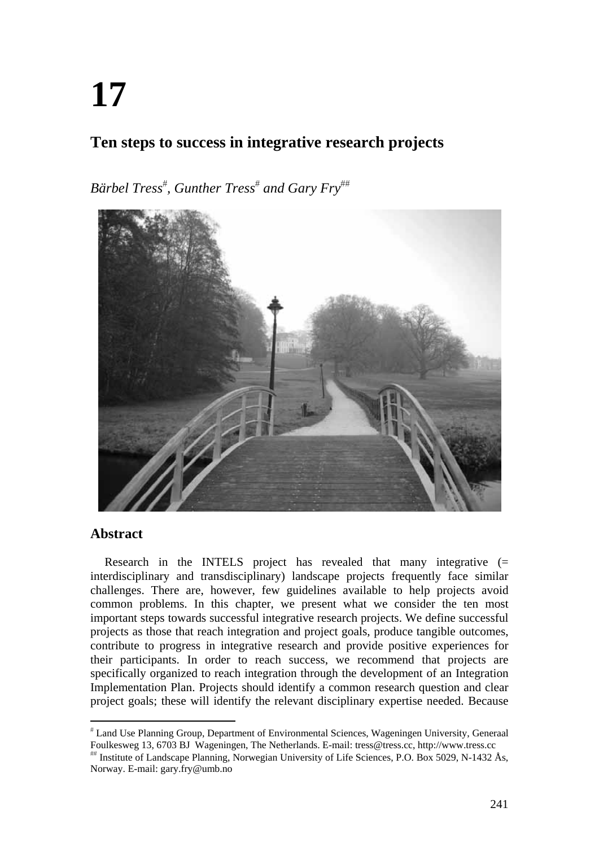# **17**

## **Ten steps to success in integrative research projects**

*Bärbel Tress , Gunther Tress and Gary Fry*



## **Abstract**

Research in the INTELS project has revealed that many integrative (= interdisciplinary and transdisciplinary) landscape projects frequently face similar challenges. There are, however, few guidelines available to help projects avoid common problems. In this chapter, we present what we consider the ten most important steps towards successful integrative research projects. We define successful projects as those that reach integration and project goals, produce tangible outcomes, contribute to progress in integrative research and provide positive experiences for their participants. In order to reach success, we recommend that projects are specifically organized to reach integration through the development of an Integration Implementation Plan. Projects should identify a common research question and clear project goals; these will identify the relevant disciplinary expertise needed. Because

 Land Use Planning Group, Department of Environmental Sciences, Wageningen University, Generaal Foulkesweg 13, 6703 BJ Wageningen, The Netherlands. E-mail: tress@tress.cc, http://www.tress.cc

Institute of Landscape Planning, Norwegian University of Life Sciences, P.O. Box 5029, N-1432 Ås, Norway. E-mail: gary.fry@umb.no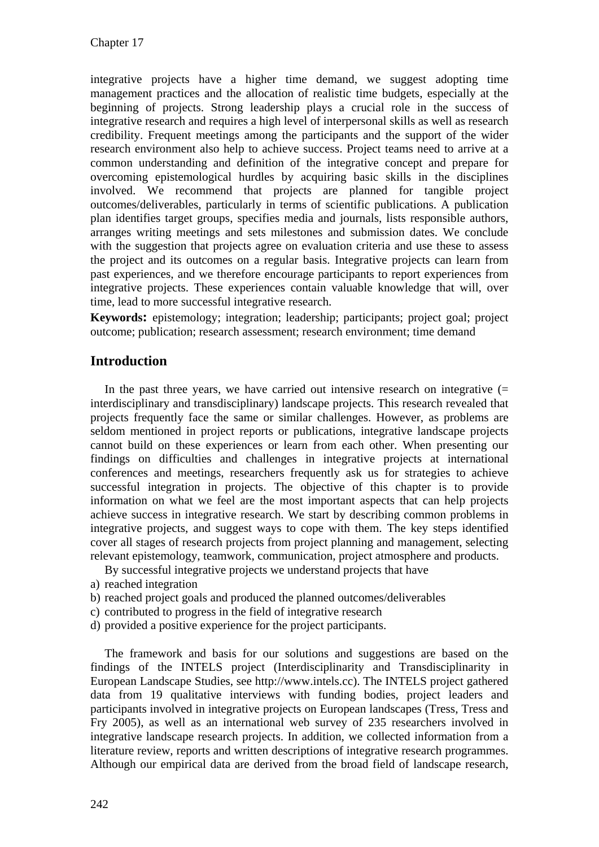integrative projects have a higher time demand, we suggest adopting time management practices and the allocation of realistic time budgets, especially at the beginning of projects. Strong leadership plays a crucial role in the success of integrative research and requires a high level of interpersonal skills as well as research credibility. Frequent meetings among the participants and the support of the wider research environment also help to achieve success. Project teams need to arrive at a common understanding and definition of the integrative concept and prepare for overcoming epistemological hurdles by acquiring basic skills in the disciplines involved. We recommend that projects are planned for tangible project outcomes/deliverables, particularly in terms of scientific publications. A publication plan identifies target groups, specifies media and journals, lists responsible authors, arranges writing meetings and sets milestones and submission dates. We conclude with the suggestion that projects agree on evaluation criteria and use these to assess the project and its outcomes on a regular basis. Integrative projects can learn from past experiences, and we therefore encourage participants to report experiences from integrative projects. These experiences contain valuable knowledge that will, over time, lead to more successful integrative research.

**Keywords:** epistemology; integration; leadership; participants; project goal; project outcome; publication; research assessment; research environment; time demand

## **Introduction**

In the past three years, we have carried out intensive research on integrative  $(=$ interdisciplinary and transdisciplinary) landscape projects. This research revealed that projects frequently face the same or similar challenges. However, as problems are seldom mentioned in project reports or publications, integrative landscape projects cannot build on these experiences or learn from each other. When presenting our findings on difficulties and challenges in integrative projects at international conferences and meetings, researchers frequently ask us for strategies to achieve successful integration in projects. The objective of this chapter is to provide information on what we feel are the most important aspects that can help projects achieve success in integrative research. We start by describing common problems in integrative projects, and suggest ways to cope with them. The key steps identified cover all stages of research projects from project planning and management, selecting relevant epistemology, teamwork, communication, project atmosphere and products.

By successful integrative projects we understand projects that have

- a) reached integration
- b) reached project goals and produced the planned outcomes/deliverables
- c) contributed to progress in the field of integrative research
- d) provided a positive experience for the project participants.

The framework and basis for our solutions and suggestions are based on the findings of the INTELS project (Interdisciplinarity and Transdisciplinarity in European Landscape Studies, see http://www.intels.cc). The INTELS project gathered data from 19 qualitative interviews with funding bodies, project leaders and participants involved in integrative projects on European landscapes (Tress, Tress and Fry 2005), as well as an international web survey of 235 researchers involved in integrative landscape research projects. In addition, we collected information from a literature review, reports and written descriptions of integrative research programmes. Although our empirical data are derived from the broad field of landscape research,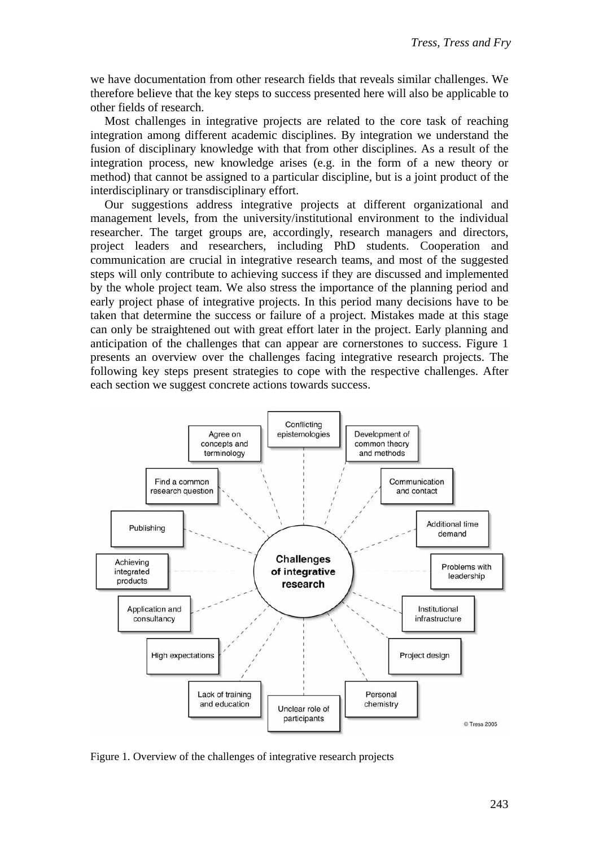we have documentation from other research fields that reveals similar challenges. We therefore believe that the key steps to success presented here will also be applicable to other fields of research.

Most challenges in integrative projects are related to the core task of reaching integration among different academic disciplines. By integration we understand the fusion of disciplinary knowledge with that from other disciplines. As a result of the integration process, new knowledge arises (e.g. in the form of a new theory or method) that cannot be assigned to a particular discipline, but is a joint product of the interdisciplinary or transdisciplinary effort.

Our suggestions address integrative projects at different organizational and management levels, from the university/institutional environment to the individual researcher. The target groups are, accordingly, research managers and directors, project leaders and researchers, including PhD students. Cooperation and communication are crucial in integrative research teams, and most of the suggested steps will only contribute to achieving success if they are discussed and implemented by the whole project team. We also stress the importance of the planning period and early project phase of integrative projects. In this period many decisions have to be taken that determine the success or failure of a project. Mistakes made at this stage can only be straightened out with great effort later in the project. Early planning and anticipation of the challenges that can appear are cornerstones to success. Figure 1 presents an overview over the challenges facing integrative research projects. The following key steps present strategies to cope with the respective challenges. After each section we suggest concrete actions towards success.



Figure 1. Overview of the challenges of integrative research projects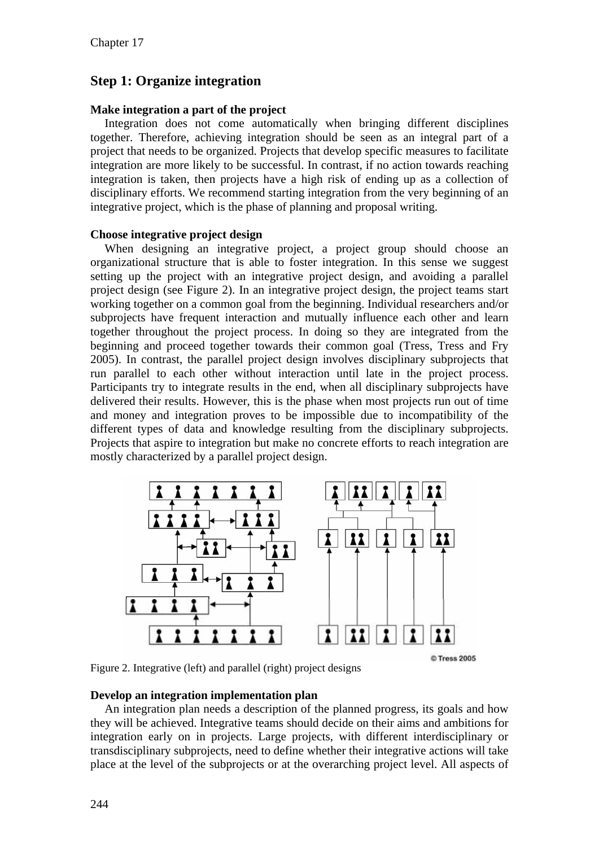## **Step 1: Organize integration**

#### **Make integration a part of the project**

Integration does not come automatically when bringing different disciplines together. Therefore, achieving integration should be seen as an integral part of a project that needs to be organized. Projects that develop specific measures to facilitate integration are more likely to be successful. In contrast, if no action towards reaching integration is taken, then projects have a high risk of ending up as a collection of disciplinary efforts. We recommend starting integration from the very beginning of an integrative project, which is the phase of planning and proposal writing.

#### **Choose integrative project design**

When designing an integrative project, a project group should choose an organizational structure that is able to foster integration. In this sense we suggest setting up the project with an integrative project design, and avoiding a parallel project design (see Figure 2). In an integrative project design, the project teams start working together on a common goal from the beginning. Individual researchers and/or subprojects have frequent interaction and mutually influence each other and learn together throughout the project process. In doing so they are integrated from the beginning and proceed together towards their common goal (Tress, Tress and Fry 2005). In contrast, the parallel project design involves disciplinary subprojects that run parallel to each other without interaction until late in the project process. Participants try to integrate results in the end, when all disciplinary subprojects have delivered their results. However, this is the phase when most projects run out of time and money and integration proves to be impossible due to incompatibility of the different types of data and knowledge resulting from the disciplinary subprojects. Projects that aspire to integration but make no concrete efforts to reach integration are mostly characterized by a parallel project design.



Figure 2. Integrative (left) and parallel (right) project designs

#### **Develop an integration implementation plan**

An integration plan needs a description of the planned progress, its goals and how they will be achieved. Integrative teams should decide on their aims and ambitions for integration early on in projects. Large projects, with different interdisciplinary or transdisciplinary subprojects, need to define whether their integrative actions will take place at the level of the subprojects or at the overarching project level. All aspects of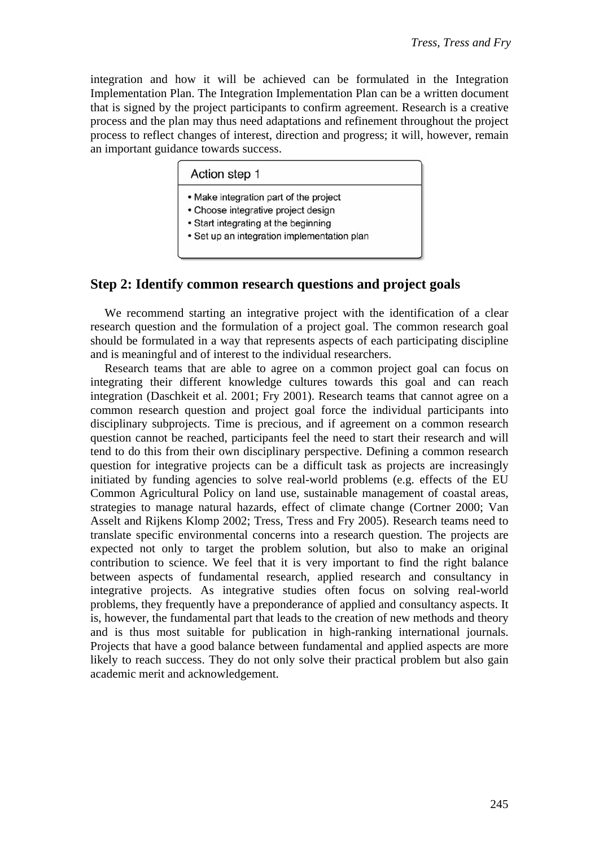integration and how it will be achieved can be formulated in the Integration Implementation Plan. The Integration Implementation Plan can be a written document that is signed by the project participants to confirm agreement. Research is a creative process and the plan may thus need adaptations and refinement throughout the project process to reflect changes of interest, direction and progress; it will, however, remain an important guidance towards success.

| • Make integration part of the project      |  |
|---------------------------------------------|--|
| • Choose integrative project design         |  |
| • Start integrating at the beginning        |  |
| • Set up an integration implementation plan |  |

### **Step 2: Identify common research questions and project goals**

We recommend starting an integrative project with the identification of a clear research question and the formulation of a project goal. The common research goal should be formulated in a way that represents aspects of each participating discipline and is meaningful and of interest to the individual researchers.

Research teams that are able to agree on a common project goal can focus on integrating their different knowledge cultures towards this goal and can reach integration (Daschkeit et al. 2001; Fry 2001). Research teams that cannot agree on a common research question and project goal force the individual participants into disciplinary subprojects. Time is precious, and if agreement on a common research question cannot be reached, participants feel the need to start their research and will tend to do this from their own disciplinary perspective. Defining a common research question for integrative projects can be a difficult task as projects are increasingly initiated by funding agencies to solve real-world problems (e.g. effects of the EU Common Agricultural Policy on land use, sustainable management of coastal areas, strategies to manage natural hazards, effect of climate change (Cortner 2000; Van Asselt and Rijkens Klomp 2002; Tress, Tress and Fry 2005). Research teams need to translate specific environmental concerns into a research question. The projects are expected not only to target the problem solution, but also to make an original contribution to science. We feel that it is very important to find the right balance between aspects of fundamental research, applied research and consultancy in integrative projects. As integrative studies often focus on solving real-world problems, they frequently have a preponderance of applied and consultancy aspects. It is, however, the fundamental part that leads to the creation of new methods and theory and is thus most suitable for publication in high-ranking international journals. Projects that have a good balance between fundamental and applied aspects are more likely to reach success. They do not only solve their practical problem but also gain academic merit and acknowledgement.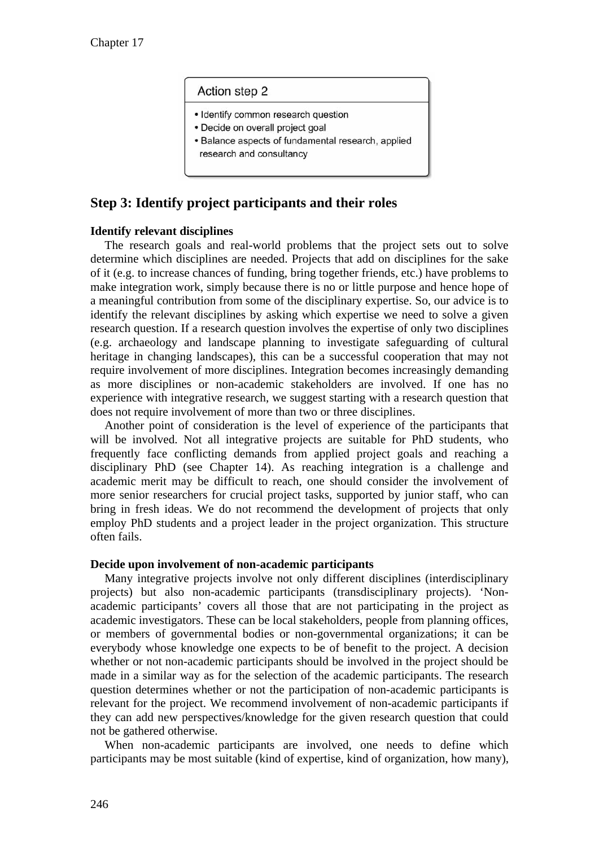#### Action step 2

- · Identify common research question
- Decide on overall project goal
- Balance aspects of fundamental research, applied research and consultancy

## **Step 3: Identify project participants and their roles**

#### **Identify relevant disciplines**

The research goals and real-world problems that the project sets out to solve determine which disciplines are needed. Projects that add on disciplines for the sake of it (e.g. to increase chances of funding, bring together friends, etc.) have problems to make integration work, simply because there is no or little purpose and hence hope of a meaningful contribution from some of the disciplinary expertise. So, our advice is to identify the relevant disciplines by asking which expertise we need to solve a given research question. If a research question involves the expertise of only two disciplines (e.g. archaeology and landscape planning to investigate safeguarding of cultural heritage in changing landscapes), this can be a successful cooperation that may not require involvement of more disciplines. Integration becomes increasingly demanding as more disciplines or non-academic stakeholders are involved. If one has no experience with integrative research, we suggest starting with a research question that does not require involvement of more than two or three disciplines.

Another point of consideration is the level of experience of the participants that will be involved. Not all integrative projects are suitable for PhD students, who frequently face conflicting demands from applied project goals and reaching a disciplinary PhD (see Chapter 14). As reaching integration is a challenge and academic merit may be difficult to reach, one should consider the involvement of more senior researchers for crucial project tasks, supported by junior staff, who can bring in fresh ideas. We do not recommend the development of projects that only employ PhD students and a project leader in the project organization. This structure often fails.

#### **Decide upon involvement of non-academic participants**

Many integrative projects involve not only different disciplines (interdisciplinary projects) but also non-academic participants (transdisciplinary projects). 'Nonacademic participants' covers all those that are not participating in the project as academic investigators. These can be local stakeholders, people from planning offices, or members of governmental bodies or non-governmental organizations; it can be everybody whose knowledge one expects to be of benefit to the project. A decision whether or not non-academic participants should be involved in the project should be made in a similar way as for the selection of the academic participants. The research question determines whether or not the participation of non-academic participants is relevant for the project. We recommend involvement of non-academic participants if they can add new perspectives/knowledge for the given research question that could not be gathered otherwise.

When non-academic participants are involved, one needs to define which participants may be most suitable (kind of expertise, kind of organization, how many),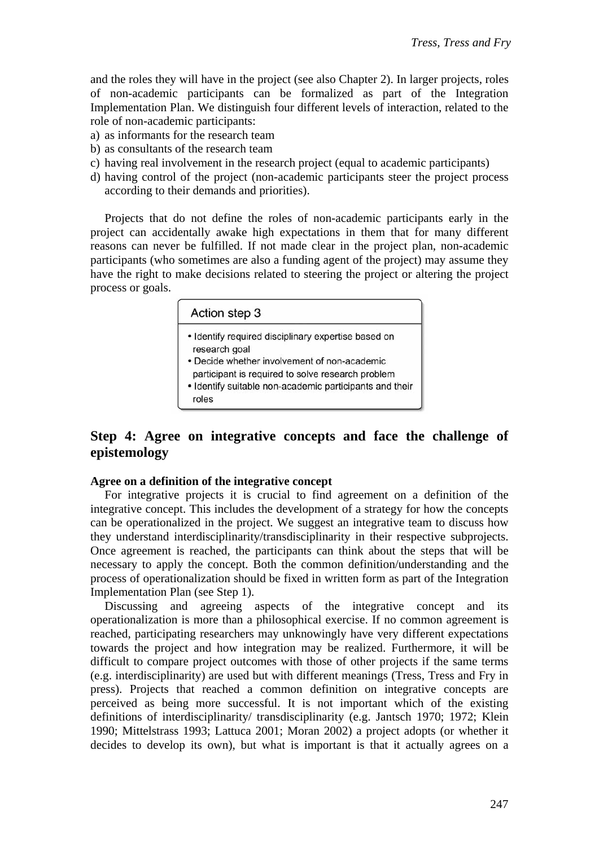and the roles they will have in the project (see also Chapter 2). In larger projects, roles of non-academic participants can be formalized as part of the Integration Implementation Plan. We distinguish four different levels of interaction, related to the role of non-academic participants:

- a) as informants for the research team
- b) as consultants of the research team
- c) having real involvement in the research project (equal to academic participants)
- d) having control of the project (non-academic participants steer the project process according to their demands and priorities).

Projects that do not define the roles of non-academic participants early in the project can accidentally awake high expectations in them that for many different reasons can never be fulfilled. If not made clear in the project plan, non-academic participants (who sometimes are also a funding agent of the project) may assume they have the right to make decisions related to steering the project or altering the project process or goals.

|       | Action step 3                                                                                     |
|-------|---------------------------------------------------------------------------------------------------|
|       | · Identify required disciplinary expertise based on<br>research goal                              |
|       | • Decide whether involvement of non-academic<br>participant is required to solve research problem |
| roles | · Identify suitable non-academic participants and their                                           |

## **Step 4: Agree on integrative concepts and face the challenge of epistemology**

#### **Agree on a definition of the integrative concept**

For integrative projects it is crucial to find agreement on a definition of the integrative concept. This includes the development of a strategy for how the concepts can be operationalized in the project. We suggest an integrative team to discuss how they understand interdisciplinarity/transdisciplinarity in their respective subprojects. Once agreement is reached, the participants can think about the steps that will be necessary to apply the concept. Both the common definition/understanding and the process of operationalization should be fixed in written form as part of the Integration Implementation Plan (see Step 1).

Discussing and agreeing aspects of the integrative concept and its operationalization is more than a philosophical exercise. If no common agreement is reached, participating researchers may unknowingly have very different expectations towards the project and how integration may be realized. Furthermore, it will be difficult to compare project outcomes with those of other projects if the same terms (e.g. interdisciplinarity) are used but with different meanings (Tress, Tress and Fry in press). Projects that reached a common definition on integrative concepts are perceived as being more successful. It is not important which of the existing definitions of interdisciplinarity/ transdisciplinarity (e.g. Jantsch 1970; 1972; Klein 1990; Mittelstrass 1993; Lattuca 2001; Moran 2002) a project adopts (or whether it decides to develop its own), but what is important is that it actually agrees on a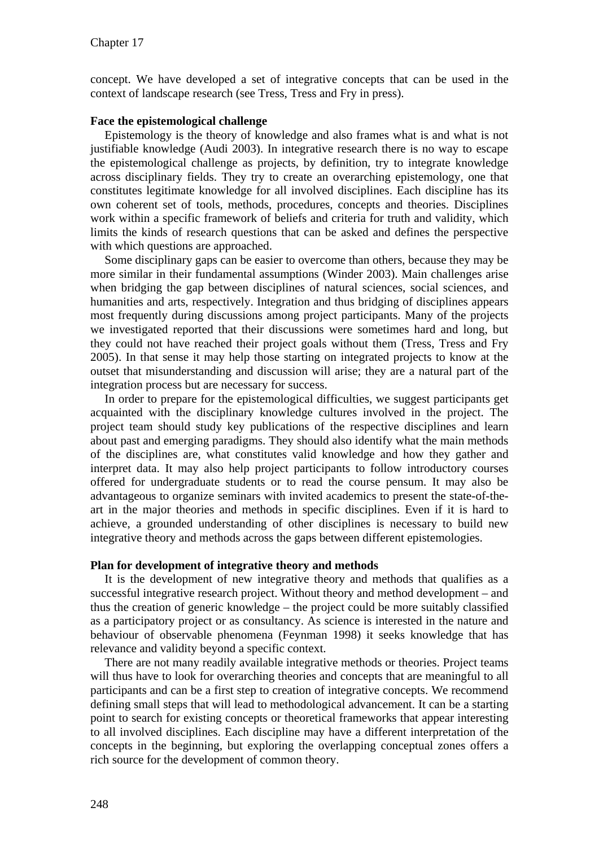concept. We have developed a set of integrative concepts that can be used in the context of landscape research (see Tress, Tress and Fry in press).

#### **Face the epistemological challenge**

Epistemology is the theory of knowledge and also frames what is and what is not justifiable knowledge (Audi 2003). In integrative research there is no way to escape the epistemological challenge as projects, by definition, try to integrate knowledge across disciplinary fields. They try to create an overarching epistemology, one that constitutes legitimate knowledge for all involved disciplines. Each discipline has its own coherent set of tools, methods, procedures, concepts and theories. Disciplines work within a specific framework of beliefs and criteria for truth and validity, which limits the kinds of research questions that can be asked and defines the perspective with which questions are approached.

Some disciplinary gaps can be easier to overcome than others, because they may be more similar in their fundamental assumptions (Winder 2003). Main challenges arise when bridging the gap between disciplines of natural sciences, social sciences, and humanities and arts, respectively. Integration and thus bridging of disciplines appears most frequently during discussions among project participants. Many of the projects we investigated reported that their discussions were sometimes hard and long, but they could not have reached their project goals without them (Tress, Tress and Fry 2005). In that sense it may help those starting on integrated projects to know at the outset that misunderstanding and discussion will arise; they are a natural part of the integration process but are necessary for success.

In order to prepare for the epistemological difficulties, we suggest participants get acquainted with the disciplinary knowledge cultures involved in the project. The project team should study key publications of the respective disciplines and learn about past and emerging paradigms. They should also identify what the main methods of the disciplines are, what constitutes valid knowledge and how they gather and interpret data. It may also help project participants to follow introductory courses offered for undergraduate students or to read the course pensum. It may also be advantageous to organize seminars with invited academics to present the state-of-theart in the major theories and methods in specific disciplines. Even if it is hard to achieve, a grounded understanding of other disciplines is necessary to build new integrative theory and methods across the gaps between different epistemologies.

#### **Plan for development of integrative theory and methods**

It is the development of new integrative theory and methods that qualifies as a successful integrative research project. Without theory and method development – and thus the creation of generic knowledge – the project could be more suitably classified as a participatory project or as consultancy. As science is interested in the nature and behaviour of observable phenomena (Feynman 1998) it seeks knowledge that has relevance and validity beyond a specific context.

There are not many readily available integrative methods or theories. Project teams will thus have to look for overarching theories and concepts that are meaningful to all participants and can be a first step to creation of integrative concepts. We recommend defining small steps that will lead to methodological advancement. It can be a starting point to search for existing concepts or theoretical frameworks that appear interesting to all involved disciplines. Each discipline may have a different interpretation of the concepts in the beginning, but exploring the overlapping conceptual zones offers a rich source for the development of common theory.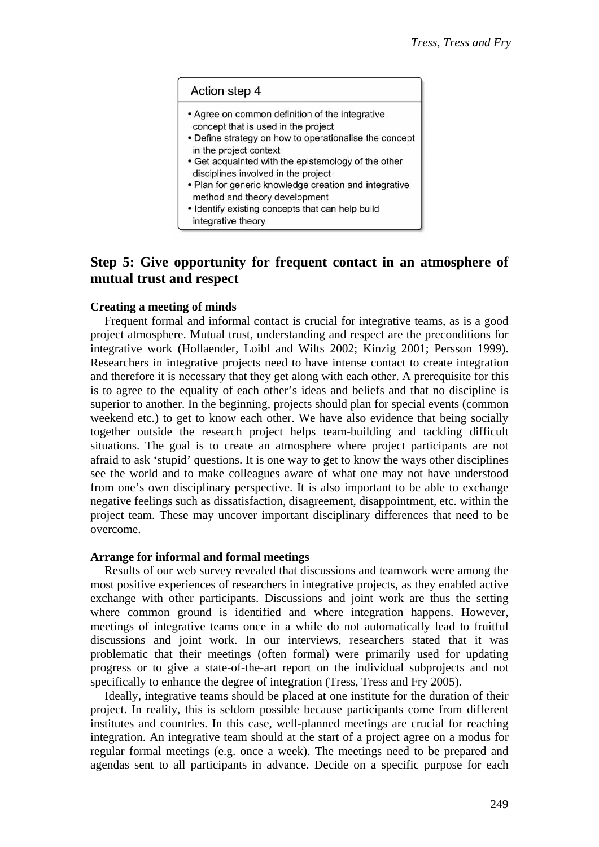#### Action step 4

- Agree on common definition of the integrative concept that is used in the project
- Define strategy on how to operationalise the concept in the project context
- Get acquainted with the epistemology of the other disciplines involved in the project
- . Plan for generic knowledge creation and integrative method and theory development
- · Identify existing concepts that can help build integrative theory

## **Step 5: Give opportunity for frequent contact in an atmosphere of mutual trust and respect**

#### **Creating a meeting of minds**

Frequent formal and informal contact is crucial for integrative teams, as is a good project atmosphere. Mutual trust, understanding and respect are the preconditions for integrative work (Hollaender, Loibl and Wilts 2002; Kinzig 2001; Persson 1999). Researchers in integrative projects need to have intense contact to create integration and therefore it is necessary that they get along with each other. A prerequisite for this is to agree to the equality of each other's ideas and beliefs and that no discipline is superior to another. In the beginning, projects should plan for special events (common weekend etc.) to get to know each other. We have also evidence that being socially together outside the research project helps team-building and tackling difficult situations. The goal is to create an atmosphere where project participants are not afraid to ask 'stupid' questions. It is one way to get to know the ways other disciplines see the world and to make colleagues aware of what one may not have understood from one's own disciplinary perspective. It is also important to be able to exchange negative feelings such as dissatisfaction, disagreement, disappointment, etc. within the project team. These may uncover important disciplinary differences that need to be overcome.

#### **Arrange for informal and formal meetings**

Results of our web survey revealed that discussions and teamwork were among the most positive experiences of researchers in integrative projects, as they enabled active exchange with other participants. Discussions and joint work are thus the setting where common ground is identified and where integration happens. However, meetings of integrative teams once in a while do not automatically lead to fruitful discussions and joint work. In our interviews, researchers stated that it was problematic that their meetings (often formal) were primarily used for updating progress or to give a state-of-the-art report on the individual subprojects and not specifically to enhance the degree of integration (Tress, Tress and Fry 2005).

Ideally, integrative teams should be placed at one institute for the duration of their project. In reality, this is seldom possible because participants come from different institutes and countries. In this case, well-planned meetings are crucial for reaching integration. An integrative team should at the start of a project agree on a modus for regular formal meetings (e.g. once a week). The meetings need to be prepared and agendas sent to all participants in advance. Decide on a specific purpose for each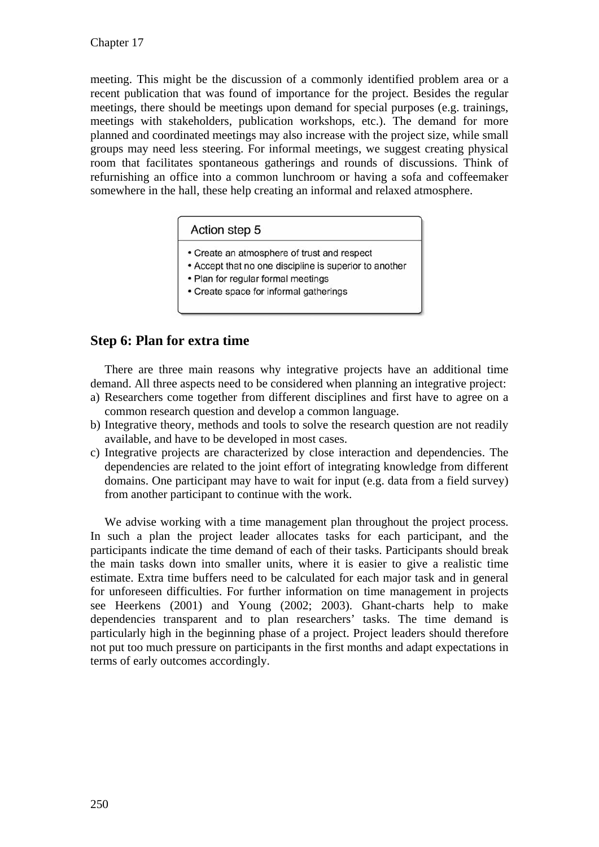meeting. This might be the discussion of a commonly identified problem area or a recent publication that was found of importance for the project. Besides the regular meetings, there should be meetings upon demand for special purposes (e.g. trainings, meetings with stakeholders, publication workshops, etc.). The demand for more planned and coordinated meetings may also increase with the project size, while small groups may need less steering. For informal meetings, we suggest creating physical room that facilitates spontaneous gatherings and rounds of discussions. Think of refurnishing an office into a common lunchroom or having a sofa and coffeemaker somewhere in the hall, these help creating an informal and relaxed atmosphere.

#### Action step 5

- Create an atmosphere of trust and respect
- Accept that no one discipline is superior to another
- Plan for regular formal meetings
- Create space for informal gatherings

#### **Step 6: Plan for extra time**

There are three main reasons why integrative projects have an additional time demand. All three aspects need to be considered when planning an integrative project:

- a) Researchers come together from different disciplines and first have to agree on a common research question and develop a common language.
- b) Integrative theory, methods and tools to solve the research question are not readily available, and have to be developed in most cases.
- c) Integrative projects are characterized by close interaction and dependencies. The dependencies are related to the joint effort of integrating knowledge from different domains. One participant may have to wait for input (e.g. data from a field survey) from another participant to continue with the work.

We advise working with a time management plan throughout the project process. In such a plan the project leader allocates tasks for each participant, and the participants indicate the time demand of each of their tasks. Participants should break the main tasks down into smaller units, where it is easier to give a realistic time estimate. Extra time buffers need to be calculated for each major task and in general for unforeseen difficulties. For further information on time management in projects see Heerkens (2001) and Young (2002; 2003). Ghant-charts help to make dependencies transparent and to plan researchers' tasks. The time demand is particularly high in the beginning phase of a project. Project leaders should therefore not put too much pressure on participants in the first months and adapt expectations in terms of early outcomes accordingly.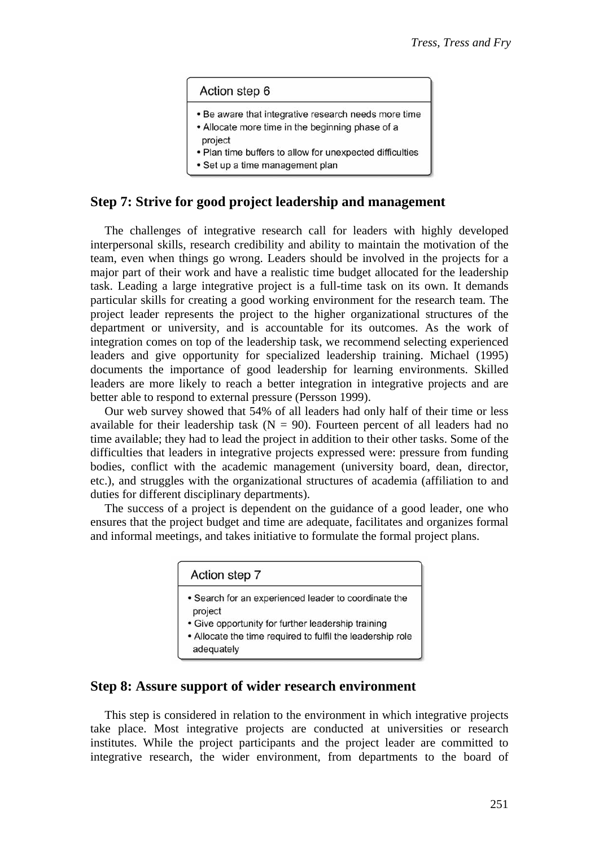#### Action step 6

- . Be aware that integrative research needs more time
- Allocate more time in the beginning phase of a project
- . Plan time buffers to allow for unexpected difficulties
- · Set up a time management plan

#### **Step 7: Strive for good project leadership and management**

The challenges of integrative research call for leaders with highly developed interpersonal skills, research credibility and ability to maintain the motivation of the team, even when things go wrong. Leaders should be involved in the projects for a major part of their work and have a realistic time budget allocated for the leadership task. Leading a large integrative project is a full-time task on its own. It demands particular skills for creating a good working environment for the research team. The project leader represents the project to the higher organizational structures of the department or university, and is accountable for its outcomes. As the work of integration comes on top of the leadership task, we recommend selecting experienced leaders and give opportunity for specialized leadership training. Michael (1995) documents the importance of good leadership for learning environments. Skilled leaders are more likely to reach a better integration in integrative projects and are better able to respond to external pressure (Persson 1999).

Our web survey showed that 54% of all leaders had only half of their time or less available for their leadership task  $(N = 90)$ . Fourteen percent of all leaders had no time available; they had to lead the project in addition to their other tasks. Some of the difficulties that leaders in integrative projects expressed were: pressure from funding bodies, conflict with the academic management (university board, dean, director, etc.), and struggles with the organizational structures of academia (affiliation to and duties for different disciplinary departments).

The success of a project is dependent on the guidance of a good leader, one who ensures that the project budget and time are adequate, facilitates and organizes formal and informal meetings, and takes initiative to formulate the formal project plans.

| Action step 7                                                            |
|--------------------------------------------------------------------------|
| • Search for an experienced leader to coordinate the<br>project          |
| • Give opportunity for further leadership training                       |
| • Allocate the time required to fulfil the leadership role<br>adequately |

#### **Step 8: Assure support of wider research environment**

This step is considered in relation to the environment in which integrative projects take place. Most integrative projects are conducted at universities or research institutes. While the project participants and the project leader are committed to integrative research, the wider environment, from departments to the board of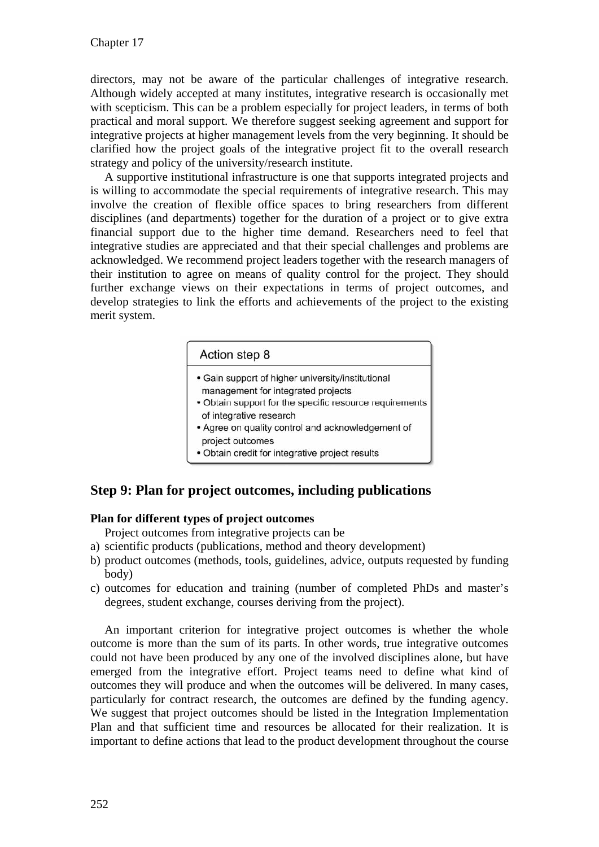directors, may not be aware of the particular challenges of integrative research. Although widely accepted at many institutes, integrative research is occasionally met with scepticism. This can be a problem especially for project leaders, in terms of both practical and moral support. We therefore suggest seeking agreement and support for integrative projects at higher management levels from the very beginning. It should be clarified how the project goals of the integrative project fit to the overall research strategy and policy of the university/research institute.

A supportive institutional infrastructure is one that supports integrated projects and is willing to accommodate the special requirements of integrative research. This may involve the creation of flexible office spaces to bring researchers from different disciplines (and departments) together for the duration of a project or to give extra financial support due to the higher time demand. Researchers need to feel that integrative studies are appreciated and that their special challenges and problems are acknowledged. We recommend project leaders together with the research managers of their institution to agree on means of quality control for the project. They should further exchange views on their expectations in terms of project outcomes, and develop strategies to link the efforts and achievements of the project to the existing merit system.

#### Action step 8

- Gain support of higher university/institutional management for integrated projects
- Obtain support for the specific resource requirements of integrative research
- Agree on quality control and acknowledgement of project outcomes
- · Obtain credit for integrative project results

## **Step 9: Plan for project outcomes, including publications**

#### **Plan for different types of project outcomes**

Project outcomes from integrative projects can be

- a) scientific products (publications, method and theory development)
- b) product outcomes (methods, tools, guidelines, advice, outputs requested by funding body)
- c) outcomes for education and training (number of completed PhDs and master's degrees, student exchange, courses deriving from the project).

An important criterion for integrative project outcomes is whether the whole outcome is more than the sum of its parts. In other words, true integrative outcomes could not have been produced by any one of the involved disciplines alone, but have emerged from the integrative effort. Project teams need to define what kind of outcomes they will produce and when the outcomes will be delivered. In many cases, particularly for contract research, the outcomes are defined by the funding agency. We suggest that project outcomes should be listed in the Integration Implementation Plan and that sufficient time and resources be allocated for their realization. It is important to define actions that lead to the product development throughout the course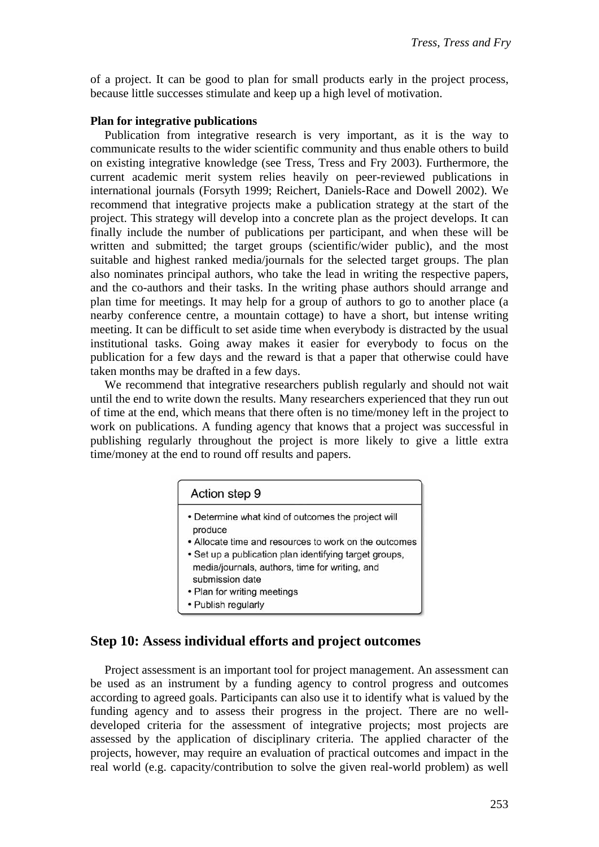of a project. It can be good to plan for small products early in the project process, because little successes stimulate and keep up a high level of motivation.

#### **Plan for integrative publications**

Publication from integrative research is very important, as it is the way to communicate results to the wider scientific community and thus enable others to build on existing integrative knowledge (see Tress, Tress and Fry 2003). Furthermore, the current academic merit system relies heavily on peer-reviewed publications in international journals (Forsyth 1999; Reichert, Daniels-Race and Dowell 2002). We recommend that integrative projects make a publication strategy at the start of the project. This strategy will develop into a concrete plan as the project develops. It can finally include the number of publications per participant, and when these will be written and submitted; the target groups (scientific/wider public), and the most suitable and highest ranked media/journals for the selected target groups. The plan also nominates principal authors, who take the lead in writing the respective papers, and the co-authors and their tasks. In the writing phase authors should arrange and plan time for meetings. It may help for a group of authors to go to another place (a nearby conference centre, a mountain cottage) to have a short, but intense writing meeting. It can be difficult to set aside time when everybody is distracted by the usual institutional tasks. Going away makes it easier for everybody to focus on the publication for a few days and the reward is that a paper that otherwise could have taken months may be drafted in a few days.

We recommend that integrative researchers publish regularly and should not wait until the end to write down the results. Many researchers experienced that they run out of time at the end, which means that there often is no time/money left in the project to work on publications. A funding agency that knows that a project was successful in publishing regularly throughout the project is more likely to give a little extra time/money at the end to round off results and papers.

#### Action step 9

- Determine what kind of outcomes the project will produce
- Allocate time and resources to work on the outcomes
- Set up a publication plan identifying target groups,
	- media/journals, authors, time for writing, and
- submission date
- Plan for writing meetings
- Publish regularly

#### **Step 10: Assess individual efforts and project outcomes**

Project assessment is an important tool for project management. An assessment can be used as an instrument by a funding agency to control progress and outcomes according to agreed goals. Participants can also use it to identify what is valued by the funding agency and to assess their progress in the project. There are no welldeveloped criteria for the assessment of integrative projects; most projects are assessed by the application of disciplinary criteria. The applied character of the projects, however, may require an evaluation of practical outcomes and impact in the real world (e.g. capacity/contribution to solve the given real-world problem) as well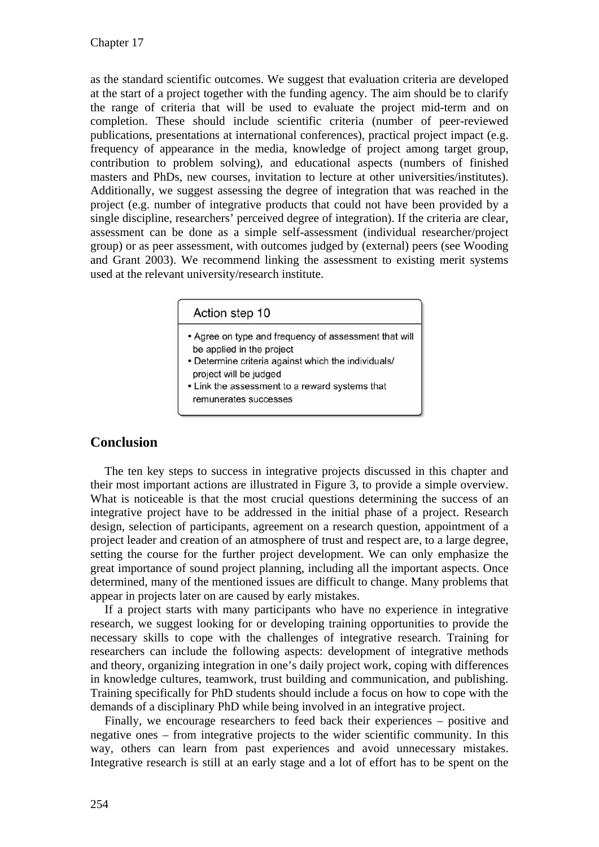as the standard scientific outcomes. We suggest that evaluation criteria are developed at the start of a project together with the funding agency. The aim should be to clarify the range of criteria that will be used to evaluate the project mid-term and on completion. These should include scientific criteria (number of peer-reviewed publications, presentations at international conferences), practical project impact (e.g. frequency of appearance in the media, knowledge of project among target group, contribution to problem solving), and educational aspects (numbers of finished masters and PhDs, new courses, invitation to lecture at other universities/institutes). Additionally, we suggest assessing the degree of integration that was reached in the project (e.g. number of integrative products that could not have been provided by a single discipline, researchers' perceived degree of integration). If the criteria are clear, assessment can be done as a simple self-assessment (individual researcher/project group) or as peer assessment, with outcomes judged by (external) peers (see Wooding and Grant 2003). We recommend linking the assessment to existing merit systems used at the relevant university/research institute.

#### Action step 10

- Agree on type and frequency of assessment that will be applied in the project
- Determine criteria against which the individuals/ project will be judged
- Link the assessment to a reward systems that
- remunerates successes

#### **Conclusion**

The ten key steps to success in integrative projects discussed in this chapter and their most important actions are illustrated in Figure 3, to provide a simple overview. What is noticeable is that the most crucial questions determining the success of an integrative project have to be addressed in the initial phase of a project. Research design, selection of participants, agreement on a research question, appointment of a project leader and creation of an atmosphere of trust and respect are, to a large degree, setting the course for the further project development. We can only emphasize the great importance of sound project planning, including all the important aspects. Once determined, many of the mentioned issues are difficult to change. Many problems that appear in projects later on are caused by early mistakes.

If a project starts with many participants who have no experience in integrative research, we suggest looking for or developing training opportunities to provide the necessary skills to cope with the challenges of integrative research. Training for researchers can include the following aspects: development of integrative methods and theory, organizing integration in one's daily project work, coping with differences in knowledge cultures, teamwork, trust building and communication, and publishing. Training specifically for PhD students should include a focus on how to cope with the demands of a disciplinary PhD while being involved in an integrative project.

Finally, we encourage researchers to feed back their experiences – positive and negative ones – from integrative projects to the wider scientific community. In this way, others can learn from past experiences and avoid unnecessary mistakes. Integrative research is still at an early stage and a lot of effort has to be spent on the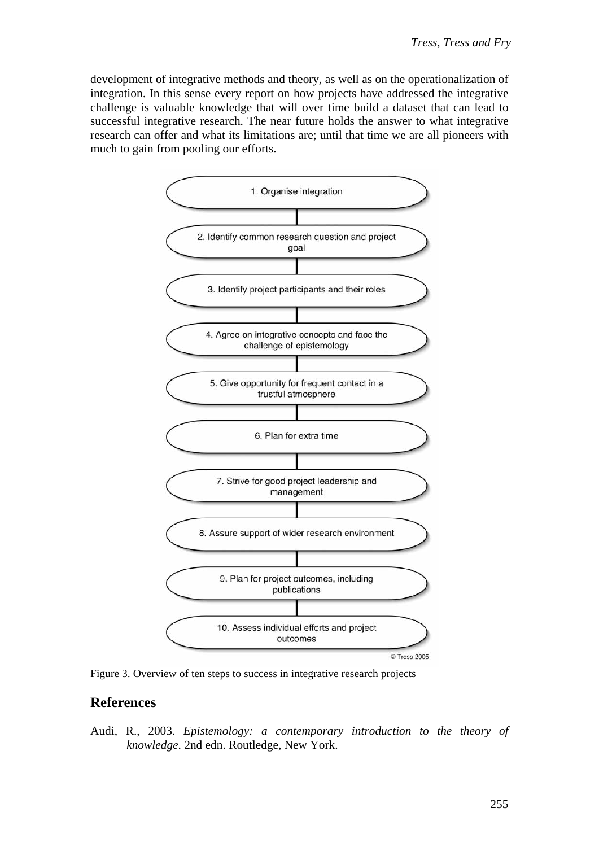development of integrative methods and theory, as well as on the operationalization of integration. In this sense every report on how projects have addressed the integrative challenge is valuable knowledge that will over time build a dataset that can lead to successful integrative research. The near future holds the answer to what integrative research can offer and what its limitations are; until that time we are all pioneers with much to gain from pooling our efforts.



Figure 3. Overview of ten steps to success in integrative research projects

## **References**

Audi, R., 2003. *Epistemology: a contemporary introduction to the theory of knowledge*. 2nd edn. Routledge, New York.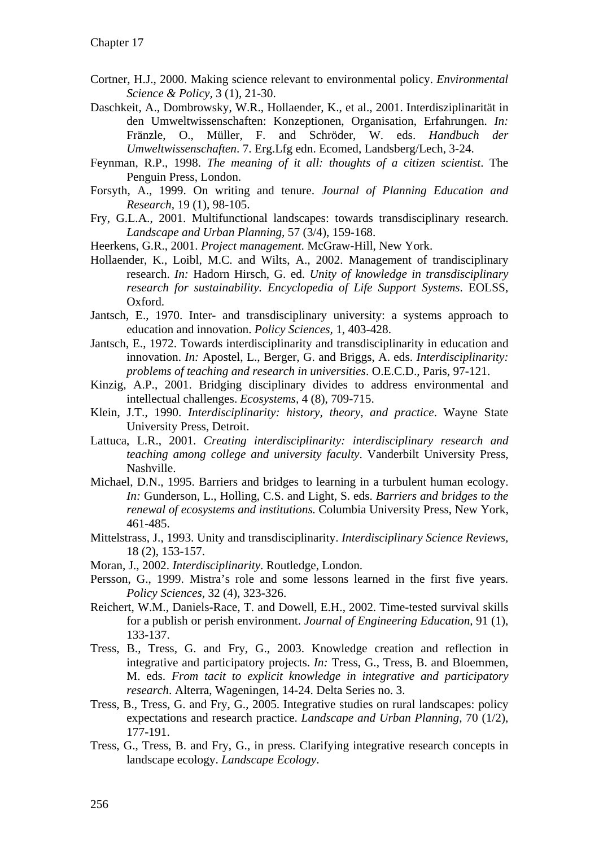- Cortner, H.J., 2000. Making science relevant to environmental policy. *Environmental Science & Policy,* 3 (1), 21-30.
- Daschkeit, A., Dombrowsky, W.R., Hollaender, K., et al., 2001. Interdisziplinarität in den Umweltwissenschaften: Konzeptionen, Organisation, Erfahrungen. *In:* Fränzle, O., Müller, F. and Schröder, W. eds. *Handbuch der Umweltwissenschaften*. 7. Erg.Lfg edn. Ecomed, Landsberg/Lech, 3-24.
- Feynman, R.P., 1998. *The meaning of it all: thoughts of a citizen scientist*. The Penguin Press, London.
- Forsyth, A., 1999. On writing and tenure. *Journal of Planning Education and Research,* 19 (1), 98-105.
- Fry, G.L.A., 2001. Multifunctional landscapes: towards transdisciplinary research. *Landscape and Urban Planning,* 57 (3/4), 159-168.
- Heerkens, G.R., 2001. *Project management*. McGraw-Hill, New York.
- Hollaender, K., Loibl, M.C. and Wilts, A., 2002. Management of trandisciplinary research. *In:* Hadorn Hirsch, G. ed. *Unity of knowledge in transdisciplinary research for sustainability. Encyclopedia of Life Support Systems*. EOLSS, Oxford.
- Jantsch, E., 1970. Inter- and transdisciplinary university: a systems approach to education and innovation. *Policy Sciences,* 1, 403-428.
- Jantsch, E., 1972. Towards interdisciplinarity and transdisciplinarity in education and innovation. *In:* Apostel, L., Berger, G. and Briggs, A. eds. *Interdisciplinarity: problems of teaching and research in universities*. O.E.C.D., Paris, 97-121.
- Kinzig, A.P., 2001. Bridging disciplinary divides to address environmental and intellectual challenges. *Ecosystems,* 4 (8), 709-715.
- Klein, J.T., 1990. *Interdisciplinarity: history, theory, and practice*. Wayne State University Press, Detroit.
- Lattuca, L.R., 2001. *Creating interdisciplinarity: interdisciplinary research and teaching among college and university faculty*. Vanderbilt University Press, Nashville.
- Michael, D.N., 1995. Barriers and bridges to learning in a turbulent human ecology. *In:* Gunderson, L., Holling, C.S. and Light, S. eds. *Barriers and bridges to the renewal of ecosystems and institutions*. Columbia University Press, New York, 461-485.
- Mittelstrass, J., 1993. Unity and transdisciplinarity. *Interdisciplinary Science Reviews,* 18 (2), 153-157.
- Moran, J., 2002. *Interdisciplinarity*. Routledge, London.
- Persson, G., 1999. Mistra's role and some lessons learned in the first five years. *Policy Sciences,* 32 (4), 323-326.
- Reichert, W.M., Daniels-Race, T. and Dowell, E.H., 2002. Time-tested survival skills for a publish or perish environment. *Journal of Engineering Education,* 91 (1), 133-137.
- Tress, B., Tress, G. and Fry, G., 2003. Knowledge creation and reflection in integrative and participatory projects. *In:* Tress, G., Tress, B. and Bloemmen, M. eds. *From tacit to explicit knowledge in integrative and participatory research*. Alterra, Wageningen, 14-24. Delta Series no. 3.
- Tress, B., Tress, G. and Fry, G., 2005. Integrative studies on rural landscapes: policy expectations and research practice. *Landscape and Urban Planning,* 70 (1/2), 177-191.
- Tress, G., Tress, B. and Fry, G., in press. Clarifying integrative research concepts in landscape ecology. *Landscape Ecology*.